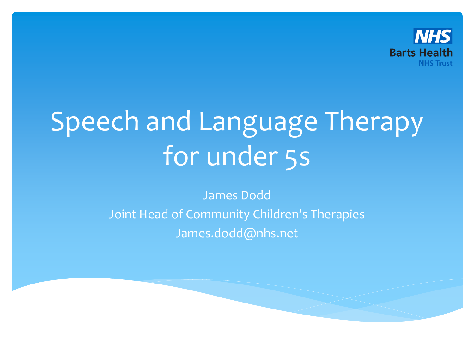

# Speech and Language Therapy for under 5s

James Dodd Joint Head of Community Children's Therapies James.dodd@nhs.net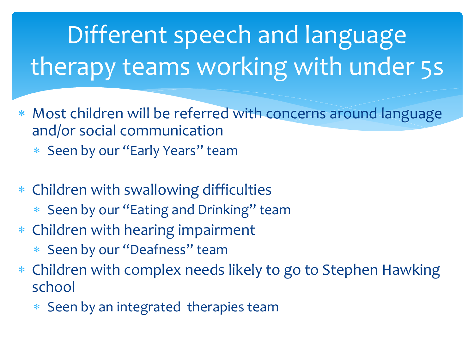## Different speech and language therapy teams working with under 5s

- Most children will be referred with concerns around language and/or social communication
	- \* Seen by our "Early Years" team
- Children with swallowing difficulties
	- \* Seen by our "Eating and Drinking" team
- Children with hearing impairment
	- Seen by our "Deafness" team
- Children with complex needs likely to go to Stephen Hawking school
	- Seen by an integrated therapies team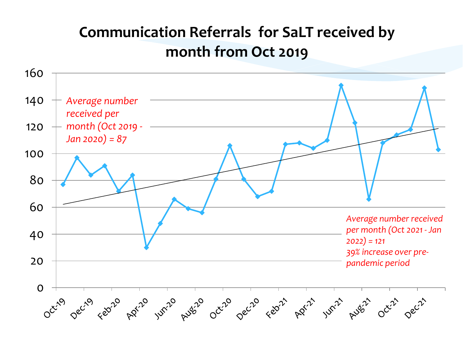#### **Communication Referrals for SaLT received by month from Oct 2019**

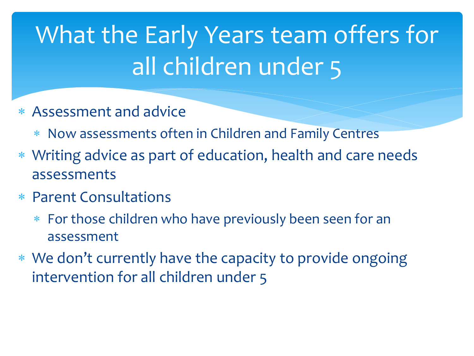### What the Early Years team offers for all children under 5

- Assessment and advice
	- Now assessments often in Children and Family Centres
- Writing advice as part of education, health and care needs assessments
- Parent Consultations
	- For those children who have previously been seen for an assessment
- We don't currently have the capacity to provide ongoing intervention for all children under 5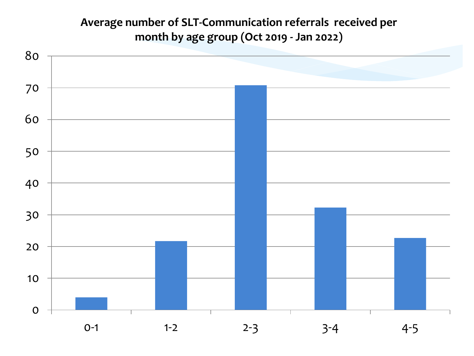#### **Average number of SLT-Communication referrals received per month by age group (Oct 2019 - Jan 2022)**

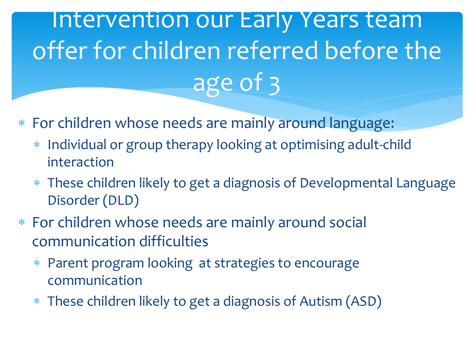#### Intervention our Early Years team offer for children referred before the age of 3

- For children whose needs are mainly around language:
	- \* Individual or group therapy looking at optimising adult-child interaction
	- These children likely to get a diagnosis of Developmental Language Disorder (DLD)
- For children whose needs are mainly around social communication difficulties
	- Parent program looking at strategies to encourage communication
	- These children likely to get a diagnosis of Autism (ASD)